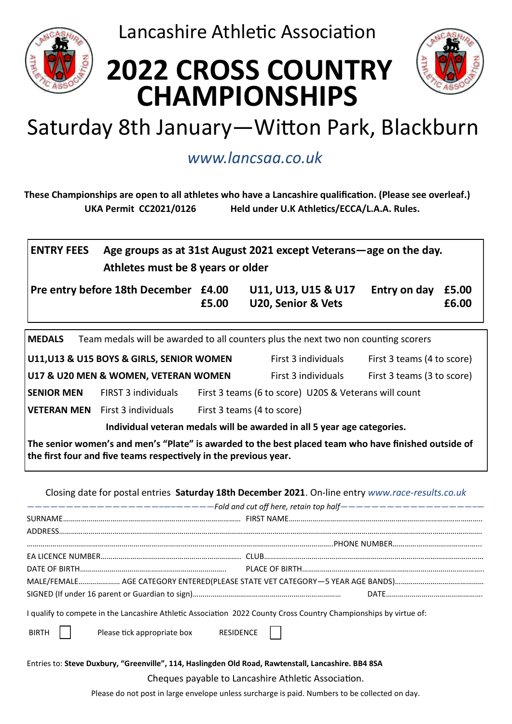

Lancashire Athletic Association

# **2022 CROSS COUNTRY CHAMPIONSHIPS**



## Saturday 8th January—Witton Park, Blackburn

### *www.lancsaa.co.uk*

**These Championships are open to all athletes who have a Lancashire qualification. (Please see overleaf.) UKA Permit CC2021/0126 Held under U.K Athletics/ECCA/L.A.A. Rules.**

| <b>ENTRY FEES</b> | Age groups as at 31st August 2021 except Veterans—age on the day. |
|-------------------|-------------------------------------------------------------------|
|                   | Athletes must be 8 years or older                                 |

**Pre entry before 18th December £4.00 U11, U13, U15 & U17 Entry on day £5.00**

**£5.00 U20, Senior & Vets £6.00**

**MEDALS** Team medals will be awarded to all counters plus the next two non counting scorers

**U11,U13 & U15 BOYS & GIRLS, SENIOR WOMEN** First 3 individuals First 3 teams (4 to score) **U17 & U20 MEN & WOMEN, VETERAN WOMEN** First 3 individuals First 3 teams (3 to score) **SENIOR MEN** FIRST 3 individuals First 3 teams (6 to score) U20S & Veterans will count

**VETERAN MEN** First 3 individuals First 3 teams (4 to score)

**Individual veteran medals will be awarded in all 5 year age categories.**

**The senior women's and men's "Plate" is awarded to the best placed team who have finished outside of the first four and five teams respectively in the previous year.**

Closing date for postal entries **Saturday 18th December 2021**. On-line entry *www.race-results.co.uk*

| -------------------------------Fold and cut off here, retain top half-----------------------                      |  |  |  |  |  |  |  |
|-------------------------------------------------------------------------------------------------------------------|--|--|--|--|--|--|--|
|                                                                                                                   |  |  |  |  |  |  |  |
|                                                                                                                   |  |  |  |  |  |  |  |
|                                                                                                                   |  |  |  |  |  |  |  |
|                                                                                                                   |  |  |  |  |  |  |  |
|                                                                                                                   |  |  |  |  |  |  |  |
|                                                                                                                   |  |  |  |  |  |  |  |
|                                                                                                                   |  |  |  |  |  |  |  |
| I qualify to compete in the Lancashire Athletic Association 2022 County Cross Country Championships by virtue of: |  |  |  |  |  |  |  |

BIRTH | Please tick appropriate box RESIDENCE

Entries to: **Steve Duxbury, "Greenville", 114, Haslingden Old Road, Rawtenstall, Lancashire. BB4 8SA**

Cheques payable to Lancashire Athletic Association.

Please do not post in large envelope unless surcharge is paid. Numbers to be collected on day.